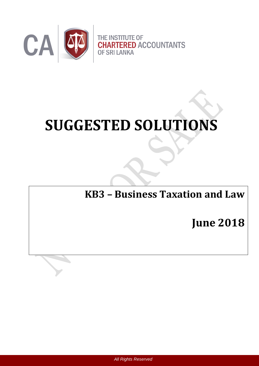

# **SUGGESTED SOLUTIONS**

**KB3 – Business Taxation and Law**

**June 2018**

 *All Rights Reserved*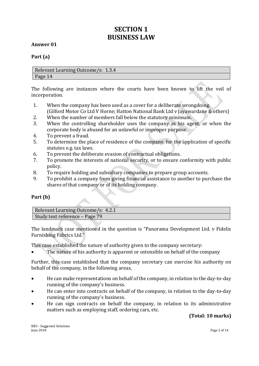# **SECTION 1 BUSINESS LAW**

#### **Answer 01**

#### **Part (a)**

Relevant Learning Outcome/s: 1.3.4 Page 14

The following are instances where the courts have been known to lift the veil of incorporation.

- 1. When the company has been used as a cover for a deliberate wrongdoing. (Gilford Motor Co Ltd V Horne; Hatton National Bank Ltd v Jayawardane & others)
- 2. When the number of members fall below the statutory minimum.
- 3. When the controlling shareholder uses the company as his agent, or when the corporate body is abused for an unlawful or improper purpose.
- 4. To prevent a fraud.
- 5. To determine the place of residence of the company, for the application of specific statutes e.g. tax laws.
- 6. To prevent the deliberate evasion of contractual obligations.
- 7. To promote the interests of national security, or to ensure conformity with public policy.
- 8. To require holding and subsidiary companies to prepare group accounts.
- 9. To prohibit a company from giving financial assistance to another to purchase the shares of that company or of its holding company.

#### **Part (b)**

| Relevant Learning Outcome/s: 4.2.1 |  |
|------------------------------------|--|
| Study text reference – Page 79     |  |

The landmark case mentioned in the question is "Panorama Development Ltd. v Fidelis Furnishing Fabrics Ltd."

This case established the nature of authority given to the company secretary:

• The nature of his authority is apparent or ostensible on behalf of the company

Further, this case established that the company secretary can exercise his authority on behalf of the company, in the following areas,

- He can make representations on behalf of the company, in relation to the day-to-day running of the company's business.
- He can enter into contracts on behalf of the company, in relation to the day-to-day running of the company's business.
- He can sign contracts on behalf the company, in relation to its administrative matters such as employing staff, ordering cars, etc.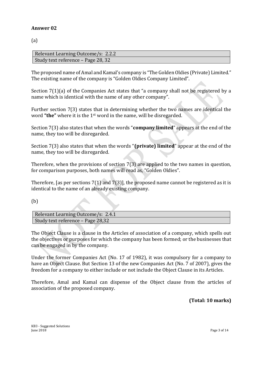(a)

Relevant Learning Outcome/s: 2.2.2 Study text reference – Page 28, 32

The proposed name of Amal and Kamal's company is "The Golden Oldies (Private) Limited." The existing name of the company is "Golden Oldies Company Limited".

Section 7(1)(a) of the Companies Act states that "a company shall not be registered by a name which is identical with the name of any other company".

Further section 7(3) states that in determining whether the two names are identical the word **"the"** where it is the 1st word in the name, will be disregarded.

Section 7(3) also states that when the words "**company limited**" appears at the end of the name, they too will be disregarded.

Section 7(3) also states that when the words "**(private) limited**" appear at the end of the name, they too will be disregarded.

Therefore, when the provisions of section 7(3) are applied to the two names in question, for comparison purposes, both names will read as, "Golden Oldies".

Therefore, [as per sections 7(1) and 7(3)], the proposed name cannot be registered as it is identical to the name of an already existing company.

(b)

Relevant Learning Outcome/s: 2.4.1 Study text reference – Page 28,32

The Object Clause is a clause in the Articles of association of a company, which spells out the objectives or purposes for which the company has been formed; or the businesses that can be engaged in by the company.

Under the former Companies Act (No. 17 of 1982), it was compulsory for a company to have an Object Clause. But Section 13 of the new Companies Act (No. 7 of 2007), gives the freedom for a company to either include or not include the Object Clause in its Articles.

Therefore, Amal and Kamal can dispense of the Object clause from the articles of association of the proposed company.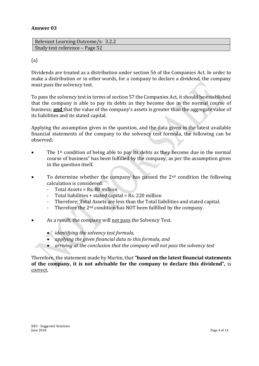| Relevant Learning Outcome/s: 3.2.2 |
|------------------------------------|
| Study text reference - Page 52     |

#### (a)

Dividends are treated as a distribution under section 56 of the Companies Act. In order to make a distribution or in other words, for a company to declare a dividend, the company must pass the solvency test.

To pass the solvency test in terms of section 57 the Companies Act, it should be established that the company is able to pay its debts as they become due in the normal course of business; **and** that the value of the company's assets is greater than the aggregate value of its liabilities and its stated capital.

Applying the assumption given in the question, and the data given in the latest available financial statements of the company to the solvency test formula, the following can be observed;

- The 1st condition of being able to pay its debts as they become due in the normal course of business" has been fulfilled by the company, as per the assumption given in the question itself.
- To determine whether the company has passed the  $2<sup>nd</sup>$  condition the following calculation is considered:
	- Total Assets = Rs. 80 million
	- Total liabilities + stated capital = Rs. 220 million
	- Therefore; Total Assets are less than the Total liabilities and stated capital.
	- Therefore the 2<sup>nd</sup> condition has NOT been fulfilled by the company.
- As a result, the company will not pass the Solvency Test.
	- *identifying the solvency test formula,*
	- *applying the given financial data to this formula, and*
	- *arriving at the conclusion that the company will not pass the solvency test*

Therefore, the statement made by Martin, that **"based on the latest financial statements of the company, it is not advisable for the company to declare this dividend",** is correct.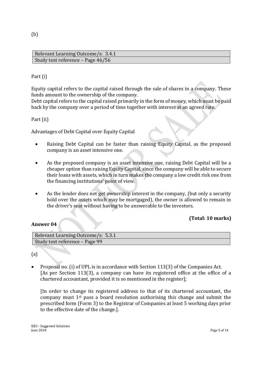Relevant Learning Outcome/s: 3.4.1 Study text reference – Page 46/56

#### Part (i)

Equity capital refers to the capital raised through the sale of shares in a company. These funds amount to the ownership of the company.

Debt capital refers to the capital raised primarily in the form of money, which must be paid back by the company over a period of time together with interest at an agreed rate.

Part (ii)

Advantages of Debt Capital over Equity Capital

- Raising Debt Capital can be faster than raising Equity Capital, as the proposed company is an asset intensive one.
- As the proposed company is an asset intensive one, raising Debt Capital will be a cheaper option than raising Equity Capital, since the company will be able to secure their loans with assets, which in turn makes the company a low credit risk one from the financing institutions' point of view.
- As the lender does not get ownership interest in the company, (but only a security hold over the assets which may be mortgaged), the owner is allowed to remain in the driver's seat without having to be answerable to the investors.

#### **(Total: 10 marks)**

#### **Answer 04**

| Relevant Learning Outcome/s: 5.3.1 |
|------------------------------------|
| Study text reference - Page 99     |

(a)

 Proposal no. (i) of UPL is in accordance with Section 113(3) of the Companies Act. [As per Section 113(3), a company can have its registered office at the office of a chartered accountant, provided it is so mentioned in the register];

[In order to change its registered address to that of its chartered accountant, the company must  $1<sup>st</sup>$  pass a board resolution authorising this change and submit the prescribed form (Form 3) to the Registrar of Companies at least 5 working days prior to the effective date of the change.].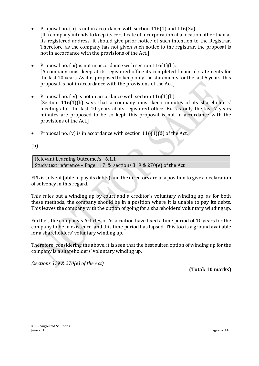- Proposal no. (ii) is not in accordance with section 116(1) and 116(3a). [If a company intends to keep its certificate of incorporation at a location other than at its registered address, it should give prior notice of such intention to the Registrar. Therefore, as the company has not given such notice to the registrar, the proposal is not in accordance with the provisions of the Act.]
- Proposal no. (iii) is not in accordance with section 116(1)(h). [A company must keep at its registered office its completed financial statements for the last 10 years. As it is proposed to keep only the statements for the last 5 years, this proposal is not in accordance with the provisions of the Act.]
- Proposal no. (iv) is not in accordance with section  $116(1)(b)$ . [Section 116(1)(b) says that a company must keep minutes of its shareholders' meetings for the last 10 years at its registered office. But as only the last 7 years minutes are proposed to be so kept, this proposal is not in accordance with the provisions of the Act.]
- Proposal no. (v) is in accordance with section  $116(1)(d)$  of the Act.

(b)

Relevant Learning Outcome/s: 6.1.1 Study text reference – Page 117 & sections 319 & 270(e) of the Act

FPL is solvent (able to pay its debts) and the directors are in a position to give a declaration of solvency in this regard.

This rules out a winding up by court and a creditor's voluntary winding up, as for both these methods, the company should be in a position where it is unable to pay its debts. This leaves the company with the option of going for a shareholders' voluntary winding up.

Further, the company's Articles of Association have fixed a time period of 10 years for the company to be in existence, and this time period has lapsed. This too is a ground available for a shareholders' voluntary winding up.

Therefore, considering the above, it is seen that the best suited option of winding up for the company is a shareholders' voluntary winding up.

*(sections 319 & 270(e) of the Act)*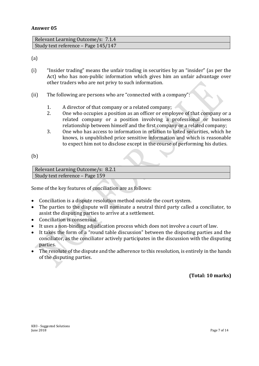| Relevant Learning Outcome/s: 7.1.4  |  |
|-------------------------------------|--|
| Study text reference – Page 145/147 |  |

(a)

- (i) "Insider trading" means the unfair trading in securities by an "insider" (as per the Act) who has non-public information which gives him an unfair advantage over other traders who are not privy to such information.
- (ii) The following are persons who are "connected with a company":
	- 1. A director of that company or a related company;
	- 2. One who occupies a position as an officer or employee of that company or a related company or a position involving a professional or business relationship between himself and the first company or a related company;
	- 3. One who has access to information in relation to listed securities, which he knows, is unpublished price sensitive information and which is reasonable to expect him not to disclose except in the course of performing his duties.

(b)

Relevant Learning Outcome/s: 8.2.1 Study text reference – Page 159

Some of the key features of conciliation are as follows:

- Conciliation is a dispute resolution method outside the court system.
- The parties to the dispute will nominate a neutral third party called a conciliator, to assist the disputing parties to arrive at a settlement.
- Conciliation is consensual.
- It uses a non-binding adjudication process which does not involve a court of law.
- It takes the form of a "round table discussion" between the disputing parties and the conciliator, as the conciliator actively participates in the discussion with the disputing parties.
- The resolute of the dispute and the adherence to this resolution, is entirely in the hands of the disputing parties.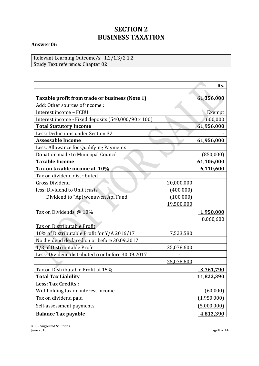# **SECTION 2 BUSINESS TAXATION**

#### **Answer 06**

Relevant Learning Outcome/s: 1.2/1.3/2.1.2 Study Text reference: Chapter 02

|                                                     |            | Rs.              |
|-----------------------------------------------------|------------|------------------|
| Taxable profit from trade or business (Note 1)      |            | 61,356,000       |
| Add: Other sources of income:                       |            |                  |
| Interest income - FCBU                              |            | Exempt           |
| Interest income - Fixed deposits (540,000/90 x 100) |            | 600,000          |
| <b>Total Statutory Income</b>                       |            | 61,956,000       |
| Less: Deductions under Section 32                   |            |                  |
| <b>Assessable Income</b>                            |            | 61,956,000       |
| Less: Allowance for Qualifying Payments             |            |                  |
| Donation made to Municipal Council                  |            | (850,000)        |
| <b>Taxable Income</b>                               |            | 61,106,000       |
| Tax on taxable income at 10%                        |            | 6,110,600        |
| Tax on dividend distributed                         |            |                  |
| <b>Gross Dividend</b>                               | 20,000,000 |                  |
| less: Dividend to Unit trusts                       | (400,000)  |                  |
| Dividend to "Api wenuwen Api Fund"                  | (100,000)  |                  |
|                                                     | 19,500,000 |                  |
| Tax on Dividends @ 10%                              |            | <u>1,950,000</u> |
|                                                     |            | 8,060,600        |
| Tax on Distributable Profit                         |            |                  |
| 10% of Distributable Profit for Y/A 2016/17         | 7,523,580  |                  |
| No dividend declared on or before 30.09.2017        |            |                  |
| 1/3 of Distributable Profit                         | 25,078,600 |                  |
| Less-Dividend distributed o or before 30.09.2017    |            |                  |
|                                                     | 25,078,600 |                  |
| Tax on Distributable Profit at 15%                  |            | 3,761,790        |
| <b>Total Tax Liability</b>                          |            | 11,822,390       |
| <b>Less: Tax Credits:</b>                           |            |                  |
| Withholding tax on interest income                  |            | (60,000)         |
| Tax on dividend paid                                |            | (1,950,000)      |
| Self-assessment payments                            |            | (5,000,000)      |
| <b>Balance Tax payable</b>                          |            | 4,812,390        |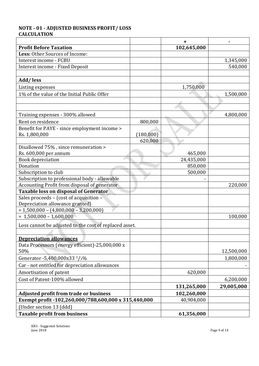# **NOTE - 01 - ADJUSTED BUSINESS PROFIT/ LOSS CALCULATION**

|                                                        |           | +           |            |
|--------------------------------------------------------|-----------|-------------|------------|
| <b>Profit Before Taxation</b>                          |           | 102,645,000 |            |
| Less: Other Sources of Income:                         |           |             |            |
| Interest income - FCBU                                 |           |             | 1,345,000  |
| Interest income - Fixed Deposit                        |           |             | 540,000    |
|                                                        |           |             |            |
| Add/less                                               |           |             |            |
| Listing expenses                                       |           | 1,750,000   |            |
| 1% of the value of the Initial Public Offer            |           |             | 1,500,000  |
|                                                        |           |             |            |
|                                                        |           |             |            |
| Training expenses - 300% allowed                       |           |             | 4,800,000  |
| Rent on residence                                      | 800,000   |             |            |
| Benefit for PAYE - since employment income >           |           |             |            |
| Rs. 1,800,000                                          | (180,000) |             |            |
|                                                        | 620,000   |             |            |
| Disallowed 75%, since remuneration >                   |           |             |            |
| Rs. 600,000 per annum                                  |           | 465,000     |            |
| <b>Book depreciation</b>                               |           | 24,435,000  |            |
| Donation                                               |           | 850,000     |            |
| Subscription to club                                   |           | 500,000     |            |
| Subscription to professional body - allowable          |           |             |            |
| Accounting Profit from disposal of generator           |           |             | 220,000    |
| <b>Taxable loss on disposal of Generator</b>           |           |             |            |
| Sales proceeds - (cost of acquisition -                |           |             |            |
| Depreciation allowance granted)                        |           |             |            |
| $= 1,500,000 - (4,800,000 - 3,200,000)$                |           |             |            |
| $= 1,500,000 - 1,600,000$                              |           |             | 100,000    |
| Loss cannot be adjusted to the cost of replaced asset. |           |             |            |
|                                                        |           |             |            |
| <b>Depreciation allowances</b>                         |           |             |            |
| Data Processors (energy efficient)-25,000,000 x        |           |             |            |
| 50%                                                    |           |             | 12,500,000 |
| Generator -5,400,000x33 1/3%                           |           |             | 1,800,000  |
| Car - not entitled for depreciation allowances         |           |             |            |
| Amortisation of patent                                 |           | 620,000     |            |
| Cost of Patent-100% allowed                            |           |             | 6,200,000  |
|                                                        |           | 131,265,000 | 29,005,000 |
| <b>Adjusted profit from trade or business</b>          |           | 102,260,000 |            |
| Exempt profit -102,260,000/788,600,000 x 315,440,000   |           | 40,904,000  |            |
| (Under section 13 (ddd)                                |           |             |            |
| <b>Taxable profit from business</b>                    |           | 61,356,000  |            |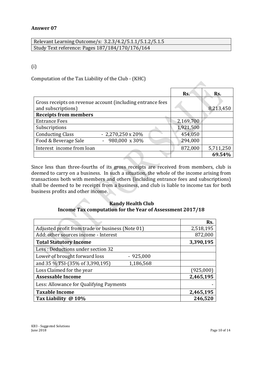Relevant Learning Outcome/s: 3.2.3/4.2/5.1.1/5.1.2/5.1.5 Study Text reference: Pages 187/184/170/176/164

## (i)

Computation of the Tax Liability of the Club - (KHC)

|                              |                                                            | Rs.       | Rs.       |
|------------------------------|------------------------------------------------------------|-----------|-----------|
|                              | Gross receipts on revenue account (including entrance fees |           |           |
| and subscriptions)           |                                                            |           | 8,213,450 |
| <b>Receipts from members</b> |                                                            |           |           |
| <b>Entrance Fees</b>         |                                                            | 2,169,700 |           |
| Subscriptions                |                                                            | 1,921,500 |           |
| <b>Conducting Class</b>      | $-2,270,250 \times 20\%$                                   | 454,050   |           |
| Food & Beverage Sale         | $-980,000 \times 30\%$                                     | 294,000   |           |
| Interest income from loan    |                                                            | 872,000   | 5,711,250 |
|                              |                                                            |           | 69.54%    |

Since less than three-fourths of its gross receipts are received from members, club is deemed to carry on a business. In such a situation, the whole of the income arising from transactions both with members and others (including entrance fees and subscriptions) shall be deemed to be receipts from a business, and club is liable to income tax for both business profits and other income.

## **Kandy Health Club Income Tax computation for the Year of Assessment 2017/18**

|                                                  | Rs.       |
|--------------------------------------------------|-----------|
| Adjusted profit from trade or business (Note 01) | 2,518,195 |
| Add: other sources income - Interest             | 872,000   |
| <b>Total Statutory Income</b>                    | 3,390,195 |
| Less: Deductions under section 32                |           |
| Lower of brought forward loss<br>$-925,000$      |           |
| and 35 % TSI-(35% of 3,390,195)<br>1,186,568     |           |
| Loss Claimed for the year                        | (925,000) |
| <b>Assessable Income</b>                         | 2,465,195 |
| Less: Allowance for Qualifying Payments          |           |
| <b>Taxable Income</b>                            | 2,465,195 |
| Tax Liability @ 10%                              | 246,520   |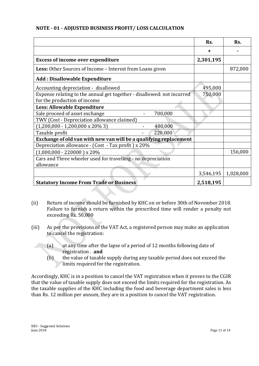## **NOTE - 01 - ADJUSTED BUSINESS PROFIT/ LOSS CALCULATION**

|                                                                        | Rs.       | Rs.       |
|------------------------------------------------------------------------|-----------|-----------|
|                                                                        | ٠         |           |
| <b>Excess of income over expenditure</b>                               | 2,301,195 |           |
| Less: Other Sources of Income - Interest from Loans given              |           | 872,000   |
| <b>Add: Disallowable Expenditure</b>                                   |           |           |
| Accounting depreciation - disallowed                                   | 495,000   |           |
| Expense relating to the annual get together - disallowed: not incurred | 750,000   |           |
| for the production of income                                           |           |           |
| Less: Allowable Expenditure                                            |           |           |
| Sale proceed of asset exchange<br>700,000                              |           |           |
| TWV (Cost - Depreciation allowance claimed)                            |           |           |
| $(1,200,000 - 1,200,000 \times 20\% 3)$<br>480,000                     |           |           |
| Taxable profit<br>220,000                                              |           |           |
| Exchange of old van with new van will be a qualifying replacement      |           |           |
| Depreciation allowance - (Cost - Tax profit) x 20%                     |           |           |
| $(1,000,000 - 220000)$ x 20%                                           |           | 156,000   |
| Cars and Three wheeler used for travelling - no depreciation           |           |           |
| allowance                                                              |           |           |
|                                                                        | 3,546,195 | 1,028,000 |
| <b>Statutory Income From Trade or Business</b>                         | 2,518,195 |           |

- (ii) Return of income should be furnished by KHC on or before 30th of November 2018. Failure to furnish a return within the prescribed time will render a penalty not exceeding Rs. 50,000
- (iii) As per the provisions of the VAT Act, a registered person may make an application to cancel the registration:
	- (a) at any time after the lapse of a period of 12 months following date of registration . **and**
	- (b) the value of taxable supply during any taxable period does not exceed the limits required for the registration.

Accordingly, KHC is in a position to cancel the VAT registration when it proves to the CGIR that the value of taxable supply does not exceed the limits required for the registration. As the taxable supplies of the KHC including the food and beverage department sales is less than Rs. 12 million per annum, they are in a position to cancel the VAT registration.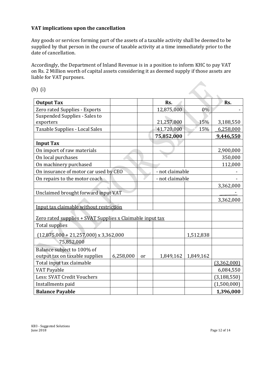# **VAT implications upon the cancellation**

Any goods or services forming part of the assets of a taxable activity shall be deemed to be supplied by that person in the course of taxable activity at a time immediately prior to the date of cancellation.

Accordingly, the Department of Inland Revenue is in a position to inform KHC to pay VAT on Rs. 2 Million worth of capital assets considering it as deemed supply if those assets are liable for VAT purposes.

| b) (i)                                                       |           |               |                 |           |               |
|--------------------------------------------------------------|-----------|---------------|-----------------|-----------|---------------|
| <b>Output Tax</b>                                            |           |               | Rs.             |           | Rs.           |
| Zero rated Supplies - Exports                                |           |               | 12,875,000      | 0%        |               |
| Suspended Supplies - Sales to<br>exporters                   |           |               | 21,257,000      | 15%       | 3,188,550     |
| <b>Taxable Supplies - Local Sales</b>                        |           |               | 41,720,000      | 15%       | 6,258,000     |
|                                                              |           |               | 75,852,000      |           | 9,446,550     |
| <b>Input Tax</b>                                             |           |               |                 |           |               |
| On import of raw materials                                   |           |               |                 |           | 2,900,000     |
| On local purchases                                           |           |               |                 |           | 350,000       |
| On machinery purchased                                       |           |               |                 |           | 112,000       |
| On insurance of motor car used by CEO                        |           |               | - not claimable |           |               |
| On repairs to the motor coach                                |           |               | - not claimable |           |               |
|                                                              |           |               |                 |           | 3,362,000     |
| Unclaimed brought forward input VAT                          |           |               |                 |           |               |
|                                                              |           |               |                 |           | 3,362,000     |
| Input tax claimable without restriction                      |           |               |                 |           |               |
| Zero rated supplies + SVAT Supplies x Claimable input tax    |           |               |                 |           |               |
| <b>Total supplies</b>                                        |           |               |                 |           |               |
| $(12,875,000 + 21,257,000)$ x 3,362,000                      |           |               |                 | 1,512,838 |               |
| 75,852,000                                                   |           |               |                 |           |               |
| Balance subject to 100% of<br>output tax on taxable supplies | 6,258,000 | <sub>or</sub> | 1,849,162       | 1,849,162 |               |
| Total input tax claimable                                    |           |               |                 |           | (3,362,000)   |
| <b>VAT Payable</b>                                           |           |               |                 |           | 6,084,550     |
| Less: SVAT Credit Vouchers                                   |           |               |                 |           | (3, 188, 550) |
| Installments paid                                            |           |               |                 |           | (1,500,000)   |
| <b>Balance Payable</b>                                       |           |               |                 |           | 1,396,000     |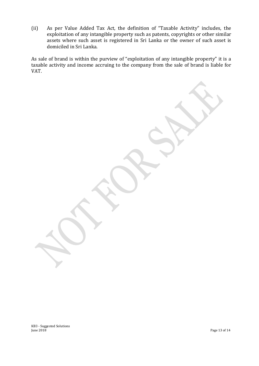(ii) As per Value Added Tax Act, the definition of "Taxable Activity" includes, the exploitation of any intangible property such as patents, copyrights or other similar assets where such asset is registered in Sri Lanka or the owner of such asset is domiciled in Sri Lanka.

As sale of brand is within the purview of "exploitation of any intangible property" it is a taxable activity and income accruing to the company from the sale of brand is liable for VAT.

KB3 - Suggested Solutions